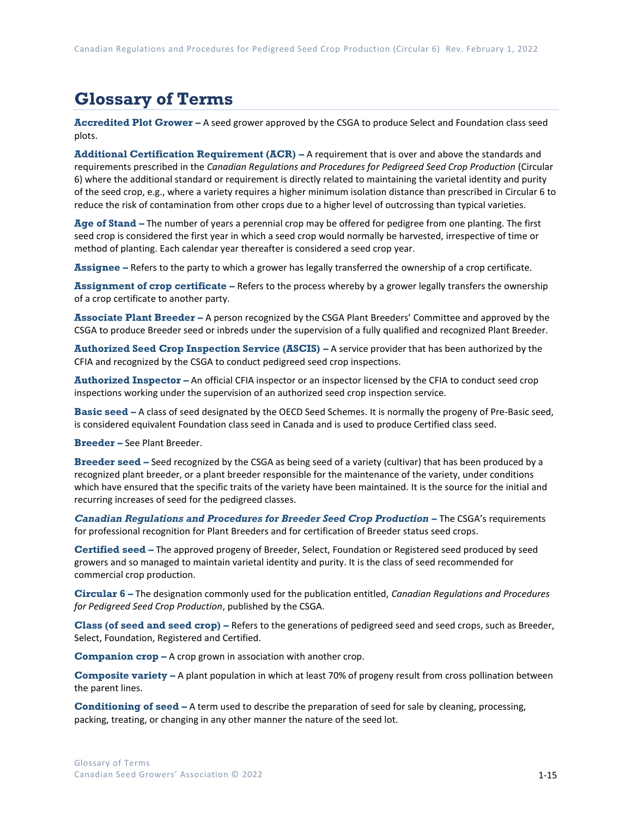## **Glossary of Terms**

**Accredited Plot Grower –** A seed grower approved by the CSGA to produce Select and Foundation class seed plots.

**Additional Certification Requirement (ACR) –** A requirement that is over and above the standards and requirements prescribed in the *Canadian Regulations and Procedures for Pedigreed Seed Crop Production* (Circular 6) where the additional standard or requirement is directly related to maintaining the varietal identity and purity of the seed crop, e.g., where a variety requires a higher minimum isolation distance than prescribed in Circular 6 to reduce the risk of contamination from other crops due to a higher level of outcrossing than typical varieties.

**Age of Stand –** The number of years a perennial crop may be offered for pedigree from one planting. The first seed crop is considered the first year in which a seed crop would normally be harvested, irrespective of time or method of planting. Each calendar year thereafter is considered a seed crop year.

**Assignee –** Refers to the party to which a grower has legally transferred the ownership of a crop certificate.

**Assignment of crop certificate –** Refers to the process whereby by a grower legally transfers the ownership of a crop certificate to another party.

**Associate Plant Breeder –** A person recognized by the CSGA Plant Breeders' Committee and approved by the CSGA to produce Breeder seed or inbreds under the supervision of a fully qualified and recognized Plant Breeder.

**Authorized Seed Crop Inspection Service (ASCIS) –** A service provider that has been authorized by the CFIA and recognized by the CSGA to conduct pedigreed seed crop inspections.

**Authorized Inspector –** An official CFIA inspector or an inspector licensed by the CFIA to conduct seed crop inspections working under the supervision of an authorized seed crop inspection service.

**Basic seed –** A class of seed designated by the OECD Seed Schemes. It is normally the progeny of Pre-Basic seed, is considered equivalent Foundation class seed in Canada and is used to produce Certified class seed.

**Breeder –** See Plant Breeder.

**Breeder seed –** Seed recognized by the CSGA as being seed of a variety (cultivar) that has been produced by a recognized plant breeder, or a plant breeder responsible for the maintenance of the variety, under conditions which have ensured that the specific traits of the variety have been maintained. It is the source for the initial and recurring increases of seed for the pedigreed classes.

*Canadian Regulations and Procedures for Breeder Seed Crop Production* **–** The CSGA's requirements for professional recognition for Plant Breeders and for certification of Breeder status seed crops.

**Certified seed –** The approved progeny of Breeder, Select, Foundation or Registered seed produced by seed growers and so managed to maintain varietal identity and purity. It is the class of seed recommended for commercial crop production.

**Circular 6 –** The designation commonly used for the publication entitled, *Canadian Regulations and Procedures for Pedigreed Seed Crop Production*, published by the CSGA.

**Class (of seed and seed crop) –** Refers to the generations of pedigreed seed and seed crops, such as Breeder, Select, Foundation, Registered and Certified.

**Companion crop –** A crop grown in association with another crop.

**Composite variety –** A plant population in which at least 70% of progeny result from cross pollination between the parent lines.

**Conditioning of seed –** A term used to describe the preparation of seed for sale by cleaning, processing, packing, treating, or changing in any other manner the nature of the seed lot.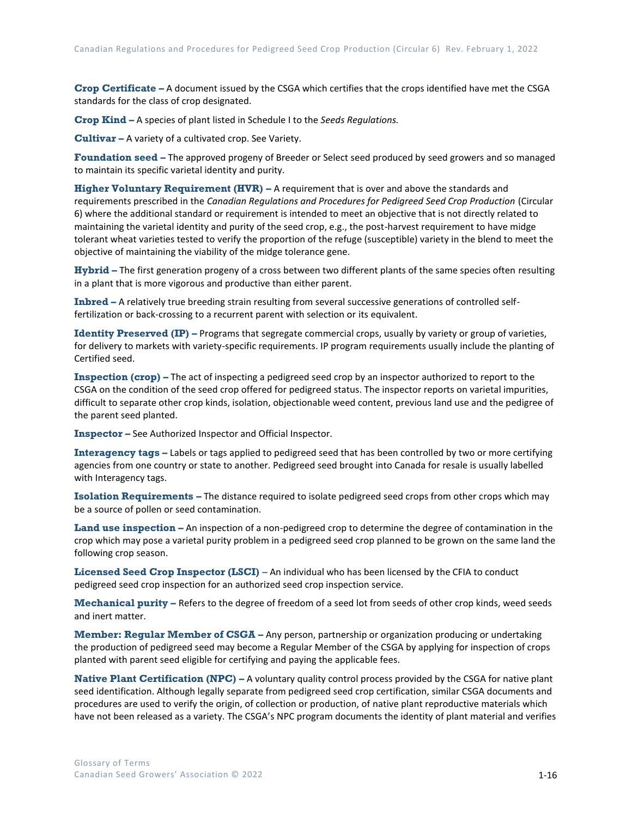**Crop Certificate –** A document issued by the CSGA which certifies that the crops identified have met the CSGA standards for the class of crop designated.

**Crop Kind –** A species of plant listed in Schedule I to the *Seeds Regulations.*

**Cultivar –** A variety of a cultivated crop. See Variety.

**Foundation seed –** The approved progeny of Breeder or Select seed produced by seed growers and so managed to maintain its specific varietal identity and purity.

**Higher Voluntary Requirement (HVR) –** A requirement that is over and above the standards and requirements prescribed in the *Canadian Regulations and Procedures for Pedigreed Seed Crop Production* (Circular 6) where the additional standard or requirement is intended to meet an objective that is not directly related to maintaining the varietal identity and purity of the seed crop, e.g., the post-harvest requirement to have midge tolerant wheat varieties tested to verify the proportion of the refuge (susceptible) variety in the blend to meet the objective of maintaining the viability of the midge tolerance gene.

**Hybrid –** The first generation progeny of a cross between two different plants of the same species often resulting in a plant that is more vigorous and productive than either parent.

**Inbred –** A relatively true breeding strain resulting from several successive generations of controlled selffertilization or back-crossing to a recurrent parent with selection or its equivalent.

**Identity Preserved (IP)** – Programs that segregate commercial crops, usually by variety or group of varieties, for delivery to markets with variety-specific requirements. IP program requirements usually include the planting of Certified seed.

**Inspection (crop)** – The act of inspecting a pedigreed seed crop by an inspector authorized to report to the CSGA on the condition of the seed crop offered for pedigreed status. The inspector reports on varietal impurities, difficult to separate other crop kinds, isolation, objectionable weed content, previous land use and the pedigree of the parent seed planted.

**Inspector –** See Authorized Inspector and Official Inspector.

**Interagency tags –** Labels or tags applied to pedigreed seed that has been controlled by two or more certifying agencies from one country or state to another. Pedigreed seed brought into Canada for resale is usually labelled with Interagency tags.

**Isolation Requirements –** The distance required to isolate pedigreed seed crops from other crops which may be a source of pollen or seed contamination.

**Land use inspection –** An inspection of a non-pedigreed crop to determine the degree of contamination in the crop which may pose a varietal purity problem in a pedigreed seed crop planned to be grown on the same land the following crop season.

**Licensed Seed Crop Inspector (LSCI)** – An individual who has been licensed by the CFIA to conduct pedigreed seed crop inspection for an authorized seed crop inspection service.

**Mechanical purity –** Refers to the degree of freedom of a seed lot from seeds of other crop kinds, weed seeds and inert matter.

**Member: Regular Member of CSGA –** Any person, partnership or organization producing or undertaking the production of pedigreed seed may become a Regular Member of the CSGA by applying for inspection of crops planted with parent seed eligible for certifying and paying the applicable fees.

**Native Plant Certification (NPC) –** A voluntary quality control process provided by the CSGA for native plant seed identification. Although legally separate from pedigreed seed crop certification, similar CSGA documents and procedures are used to verify the origin, of collection or production, of native plant reproductive materials which have not been released as a variety. The CSGA's NPC program documents the identity of plant material and verifies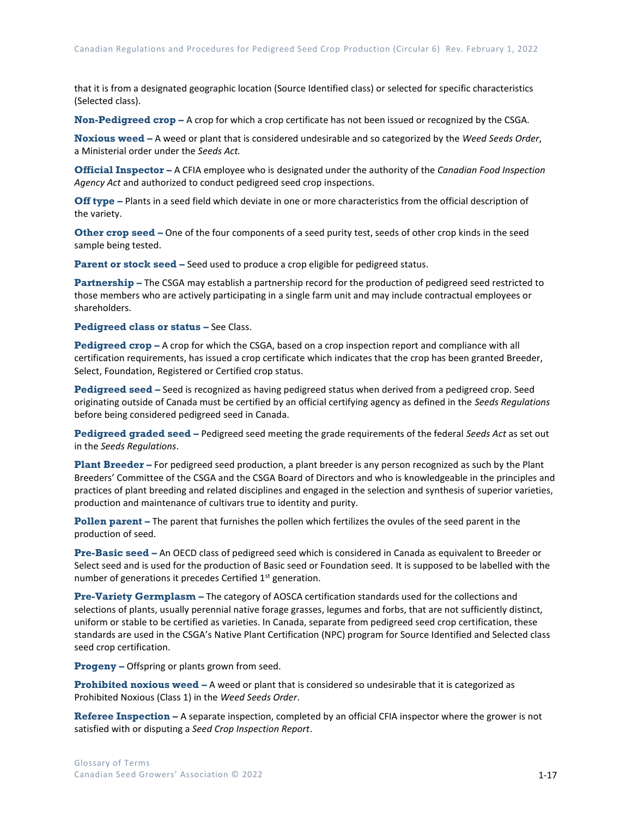that it is from a designated geographic location (Source Identified class) or selected for specific characteristics (Selected class).

**Non-Pedigreed crop –** A crop for which a crop certificate has not been issued or recognized by the CSGA.

**Noxious weed –** A weed or plant that is considered undesirable and so categorized by the *Weed Seeds Order*, a Ministerial order under the *Seeds Act.*

**Official Inspector –** A CFIA employee who is designated under the authority of the *Canadian Food Inspection Agency Act* and authorized to conduct pedigreed seed crop inspections.

**Off type –** Plants in a seed field which deviate in one or more characteristics from the official description of the variety.

**Other crop seed –** One of the four components of a seed purity test, seeds of other crop kinds in the seed sample being tested.

**Parent or stock seed –** Seed used to produce a crop eligible for pedigreed status.

**Partnership –** The CSGA may establish a partnership record for the production of pedigreed seed restricted to those members who are actively participating in a single farm unit and may include contractual employees or shareholders.

**Pedigreed class or status – See Class.** 

**Pedigreed crop –** A crop for which the CSGA, based on a crop inspection report and compliance with all certification requirements, has issued a crop certificate which indicates that the crop has been granted Breeder, Select, Foundation, Registered or Certified crop status.

**Pedigreed seed –** Seed is recognized as having pedigreed status when derived from a pedigreed crop. Seed originating outside of Canada must be certified by an official certifying agency as defined in the *Seeds Regulations* before being considered pedigreed seed in Canada.

**Pedigreed graded seed –** Pedigreed seed meeting the grade requirements of the federal *Seeds Act* as set out in the *Seeds Regulations*.

**Plant Breeder –** For pedigreed seed production, a plant breeder is any person recognized as such by the Plant Breeders' Committee of the CSGA and the CSGA Board of Directors and who is knowledgeable in the principles and practices of plant breeding and related disciplines and engaged in the selection and synthesis of superior varieties, production and maintenance of cultivars true to identity and purity.

**Pollen parent –** The parent that furnishes the pollen which fertilizes the ovules of the seed parent in the production of seed.

**Pre-Basic seed –** An OECD class of pedigreed seed which is considered in Canada as equivalent to Breeder or Select seed and is used for the production of Basic seed or Foundation seed. It is supposed to be labelled with the number of generations it precedes Certified 1<sup>st</sup> generation.

**Pre-Variety Germplasm –** The category of AOSCA certification standards used for the collections and selections of plants, usually perennial native forage grasses, legumes and forbs, that are not sufficiently distinct, uniform or stable to be certified as varieties. In Canada, separate from pedigreed seed crop certification, these standards are used in the CSGA's Native Plant Certification (NPC) program for Source Identified and Selected class seed crop certification.

**Progeny –** Offspring or plants grown from seed.

**Prohibited noxious weed –** A weed or plant that is considered so undesirable that it is categorized as Prohibited Noxious (Class 1) in the *Weed Seeds Order*.

**Referee Inspection –** A separate inspection, completed by an official CFIA inspector where the grower is not satisfied with or disputing a *Seed Crop Inspection Report*.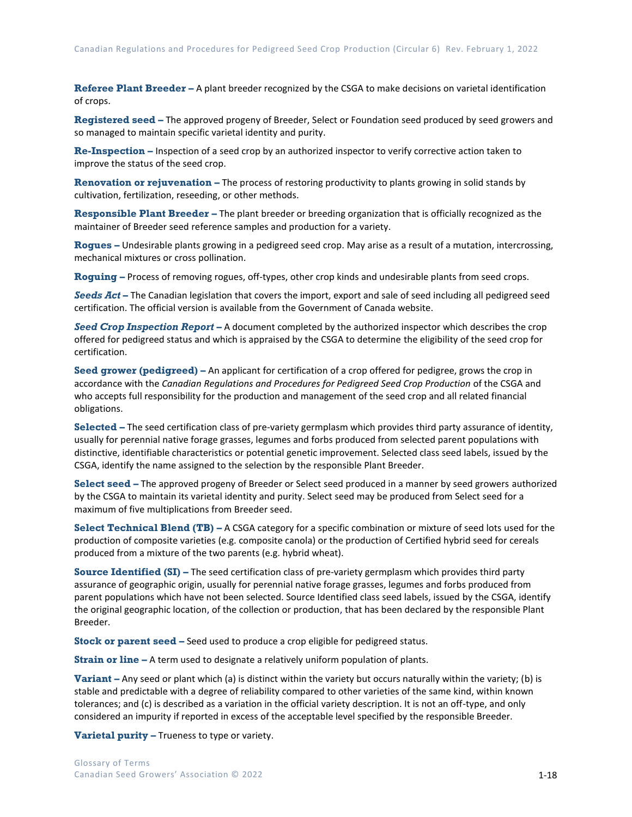**Referee Plant Breeder –** A plant breeder recognized by the CSGA to make decisions on varietal identification of crops.

**Registered seed –** The approved progeny of Breeder, Select or Foundation seed produced by seed growers and so managed to maintain specific varietal identity and purity.

**Re-Inspection –** Inspection of a seed crop by an authorized inspector to verify corrective action taken to improve the status of the seed crop.

**Renovation or rejuvenation –** The process of restoring productivity to plants growing in solid stands by cultivation, fertilization, reseeding, or other methods.

**Responsible Plant Breeder –** The plant breeder or breeding organization that is officially recognized as the maintainer of Breeder seed reference samples and production for a variety.

**Rogues –** Undesirable plants growing in a pedigreed seed crop. May arise as a result of a mutation, intercrossing, mechanical mixtures or cross pollination.

**Roguing –** Process of removing rogues, off-types, other crop kinds and undesirable plants from seed crops.

*Seeds Act* **–** The Canadian legislation that covers the import, export and sale of seed including all pedigreed seed certification. The official version is available from the Government of Canada website.

*Seed Crop Inspection Report* **–** A document completed by the authorized inspector which describes the crop offered for pedigreed status and which is appraised by the CSGA to determine the eligibility of the seed crop for certification.

**Seed grower (pedigreed) –** An applicant for certification of a crop offered for pedigree, grows the crop in accordance with the *Canadian Regulations and Procedures for Pedigreed Seed Crop Production* of the CSGA and who accepts full responsibility for the production and management of the seed crop and all related financial obligations.

**Selected –** The seed certification class of pre-variety germplasm which provides third party assurance of identity, usually for perennial native forage grasses, legumes and forbs produced from selected parent populations with distinctive, identifiable characteristics or potential genetic improvement. Selected class seed labels, issued by the CSGA, identify the name assigned to the selection by the responsible Plant Breeder.

**Select seed –** The approved progeny of Breeder or Select seed produced in a manner by seed growers authorized by the CSGA to maintain its varietal identity and purity. Select seed may be produced from Select seed for a maximum of five multiplications from Breeder seed.

**Select Technical Blend (TB) –** A CSGA category for a specific combination or mixture of seed lots used for the production of composite varieties (e.g. composite canola) or the production of Certified hybrid seed for cereals produced from a mixture of the two parents (e.g. hybrid wheat).

**Source Identified (SI) –** The seed certification class of pre-variety germplasm which provides third party assurance of geographic origin, usually for perennial native forage grasses, legumes and forbs produced from parent populations which have not been selected. Source Identified class seed labels, issued by the CSGA, identify the original geographic location, of the collection or production, that has been declared by the responsible Plant Breeder.

**Stock or parent seed –** Seed used to produce a crop eligible for pedigreed status.

**Strain or line –** A term used to designate a relatively uniform population of plants.

**Variant –** Any seed or plant which (a) is distinct within the variety but occurs naturally within the variety; (b) is stable and predictable with a degree of reliability compared to other varieties of the same kind, within known tolerances; and (c) is described as a variation in the official variety description. It is not an off-type, and only considered an impurity if reported in excess of the acceptable level specified by the responsible Breeder.

**Varietal purity –** Trueness to type or variety.